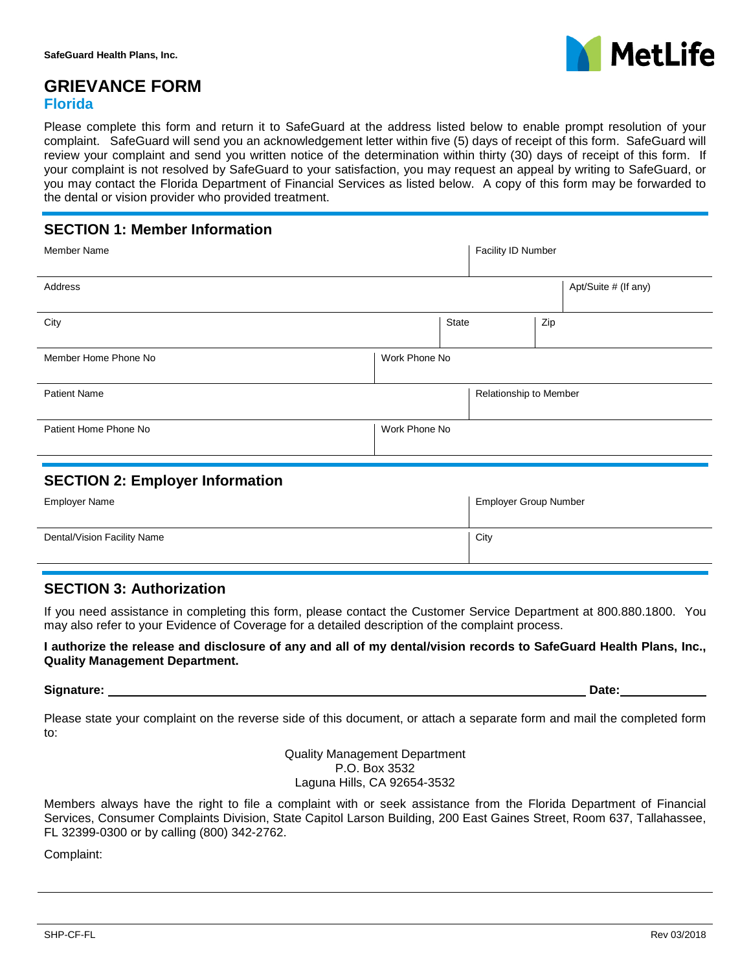

## **GRIEVANCE FORM Florida**

Please complete this form and return it to SafeGuard at the address listed below to enable prompt resolution of your complaint. SafeGuard will send you an acknowledgement letter within five (5) days of receipt of this form. SafeGuard will review your complaint and send you written notice of the determination within thirty (30) days of receipt of this form. If your complaint is not resolved by SafeGuard to your satisfaction, you may request an appeal by writing to SafeGuard, or you may contact the Florida Department of Financial Services as listed below. A copy of this form may be forwarded to the dental or vision provider who provided treatment.

## **SECTION 1: Member Information**

| <b>Member Name</b>    |               |       | Facility ID Number     |     |                      |
|-----------------------|---------------|-------|------------------------|-----|----------------------|
| Address               |               |       |                        |     | Apt/Suite # (If any) |
| City                  |               | State |                        | Zip |                      |
| Member Home Phone No  | Work Phone No |       |                        |     |                      |
| <b>Patient Name</b>   |               |       | Relationship to Member |     |                      |
| Patient Home Phone No | Work Phone No |       |                        |     |                      |
|                       |               |       |                        |     |                      |

### **SECTION 2: Employer Information**

| Employer Name               | <b>Employer Group Number</b> |
|-----------------------------|------------------------------|
| Dental/Vision Facility Name | City                         |

### **SECTION 3: Authorization**

If you need assistance in completing this form, please contact the Customer Service Department at 800.880.1800. You may also refer to your Evidence of Coverage for a detailed description of the complaint process.

#### **I authorize the release and disclosure of any and all of my dental/vision records to SafeGuard Health Plans, Inc., Quality Management Department.**

**Signature:** Date: Date: Date: Date: Date: Date: Date: Date: Date: Date: Date: Date: Date: Date: Date: Date: Date: Date: Date: Date: Date: Date: Date: Date: Date: Date: Date: Date: Date: Date: Date: Date: Date: Date: Date:

Please state your complaint on the reverse side of this document, or attach a separate form and mail the completed form to:

> Quality Management Department P.O. Box 3532 Laguna Hills, CA 92654-3532

Members always have the right to file a complaint with or seek assistance from the Florida Department of Financial Services, Consumer Complaints Division, State Capitol Larson Building, 200 East Gaines Street, Room 637, Tallahassee, FL 32399-0300 or by calling (800) 342-2762.

Complaint: